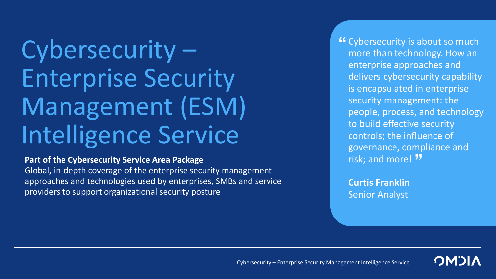# Cybersecurity – Enterprise Security Management (ESM) Intelligence Service

**Part of the Cybersecurity Service Area Package** Global, in-depth coverage of the enterprise security management approaches and technologies used by enterprises, SMBs and service

providers to support organizational security posture

**"Cybersecurity is about so much more than technology. How an** more than technology. How an enterprise approaches and delivers cybersecurity capability is encapsulated in enterprise security management: the people, process, and technology to build effective security controls; the influence of governance, compliance and<br>risk: and morel  $\overline{\mathbf{y}}$ risk; and more! "

**Curtis Franklin** Senior Analyst

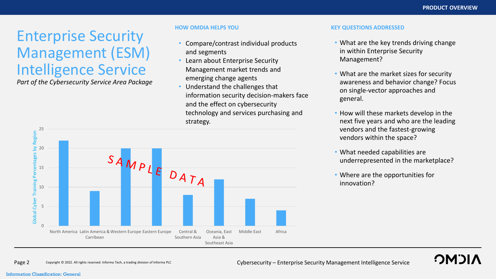## Enterprise Security Management (ESM) Intelligence Service

*Part of the Cybersecurity Service Area Package*

- Compare/contrast individual products and segments
- Learn about Enterprise Security Management market trends and emerging change agents
- Understand the challenges that information security decision-makers face and the effect on cybersecurity technology and services purchasing and strategy.



#### **HOW OMDIA HELPS YOU KEY QUESTIONS ADDRESSED**

- What are the key trends driving change in within Enterprise Security Management?
- What are the market sizes for security awareness and behavior change? Focus on single-vector approaches and general.
- How will these markets develop in the next five years and who are the leading vendors and the fastest-growing vendors within the space?
- What needed capabilities are underrepresented in the marketplace?
- Where are the opportunities for innovation?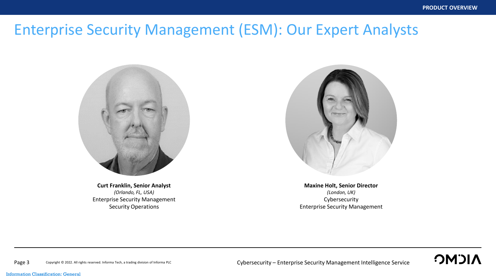## Enterprise Security Management (ESM): Our Expert Analysts



**Curt Franklin, Senior Analyst** *(Orlando, FL, USA)* Enterprise Security Management Security Operations



**Maxine Holt, Senior Director** *(London, UK)* Cybersecurity Enterprise Security Management



Copyright © 2020. All rights reserved. Informa Tech, a trading division of Informa PLC Page 3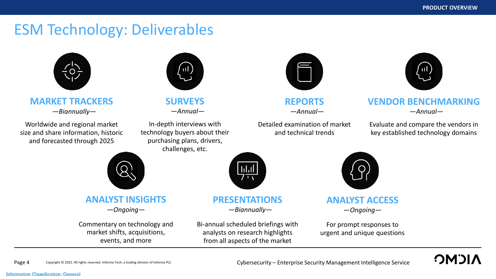## ESM Technology: Deliverables



### **MARKET TRACKERS** *—Biannually—*

Worldwide and regional market size and share information, historic and forecasted through 2025



**SURVEYS** *—Annual—*

In-depth interviews with technology buyers about their purchasing plans, drivers, challenges, etc.



**REPORTS** *—Annual—*

Detailed examination of market and technical trends

### **VENDOR BENCHMARKING**

 $\mathbf{u}$ 

*—Annual—*

Evaluate and compare the vendors in key established technology domains



**ANALYST INSIGHTS**

—*Ongoing—*

Commentary on technology and market shifts, acquisitions, events, and more



### **PRESENTATIONS**

*—Biannually—*

Bi-annual scheduled briefings with analysts on research highlights from all aspects of the market



### **ANALYST ACCESS** —*Ongoing—*

For prompt responses to urgent and unique questions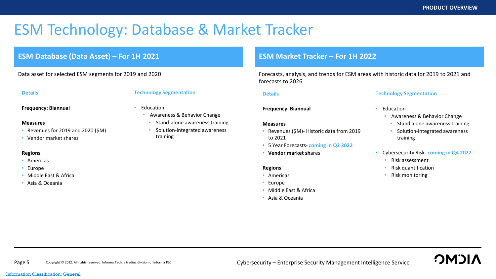## ESM Technology: Database & Market Tracker

### **ESM Database (Data Asset) – For 1H 2021**

Data asset for selected ESM segments for 2019 and 2020

#### **Details**

#### **Technology Segmentation**

#### **Frequency: Biannual**

- **Measures**
- Revenues for 2019 and 2020 (\$M)
- Vendor market shares

#### **Regions**

- Americas
- Europe
- Middle East & Africa
- Asia & Oceania

- Education
	- Awareness & Behavior Change
		- Stand-alone awareness training
		- Solution-integrated awareness training

### **ESM Market Tracker – For 1H 2022**

Forecasts, analysis, and trends for ESM areas with historic data for 2019 to 2021 and forecasts to 2026

#### **Details**

#### **Frequency: Biannual**

#### **Measures**

- Revenues (\$M)- Historic data from 2019 to 2021
- 5 Year Forecasts- **coming in Q2 2022**
- **Vendor market sh**ares

#### **Regions**

- Americas
- Europe
- Middle East & Africa
- Asia & Oceania

#### **Technology Segmentation**

- Education
	- Awareness & Behavior Change
	- Stand alone awareness training
	- Solution-integrated awareness training
- Cybersecurity Risk- **coming in Q4 2022**
	- Risk assessment
	- Risk quantification
	- Risk monitoring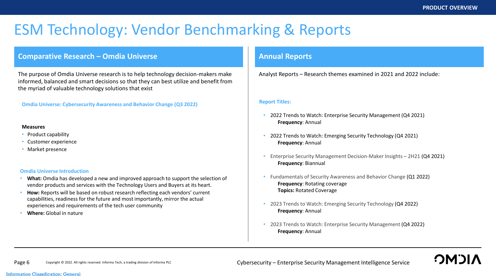## ESM Technology: Vendor Benchmarking & Reports

#### **Comparative Research – Omdia Universe**

The purpose of Omdia Universe research is to help technology decision-makers make informed, balanced and smart decisions so that they can best utilize and benefit from the myriad of valuable technology solutions that exist

**Omdia Universe: Cybersecurity Awareness and Behavior Change (Q3 2022)**

#### **Measures**

- Product capability
- Customer experience
- Market presence

#### **Omdia Universe Introduction**

- **What:** Omdia has developed a new and improved approach to support the selection of vendor products and services with the Technology Users and Buyers at its heart.
- **How:** Reports will be based on robust research reflecting each vendors' current capabilities, readiness for the future and most importantly, mirror the actual experiences and requirements of the tech user community
- **Where:** Global in nature

#### **Annual Reports**

Analyst Reports – Research themes examined in 2021 and 2022 include:

#### **Report Titles:**

- 2022 Trends to Watch: Enterprise Security Management (Q4 2021) **Frequency**: Annual
- 2022 Trends to Watch: Emerging Security Technology (Q4 2021) **Frequency**: Annual
- Enterprise Security Management Decision-Maker Insights 2H21 (Q4 2021) **Frequency**: Biannual
- Fundamentals of Security Awareness and Behavior Change (Q1 2022) **Frequency**: Rotating coverage **Topics:** Rotated Coverage
- 2023 Trends to Watch: Emerging Security Technology (Q4 2022) **Frequency**: Annual
- 2023 Trends to Watch: Enterprise Security Management (Q4 2022) **Frequency**: Annual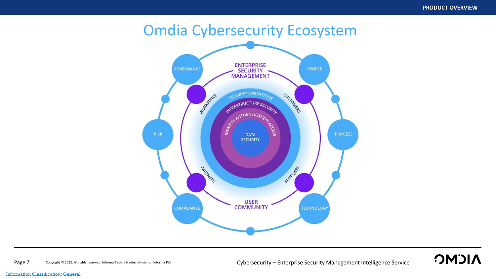## Omdia Cybersecurity Ecosystem



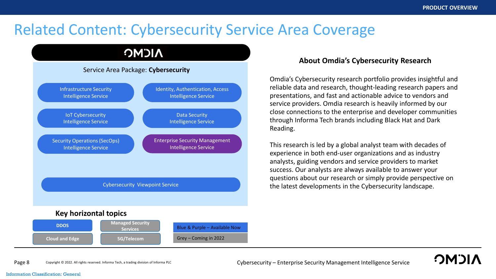## Related Content: Cybersecurity Service Area Coverage

## **NICMC** Service Area Package: **Cybersecurity** Identity, Authentication, Access Infrastructure Security<br>
Intelligence Service<br>
Intelligence Service<br>
Security Operations (SecO<br>
Intelligence Service<br>
Cybe<br>
Cybe<br>
Cybe<br>
Copyright © 2022. All rights reserved. Information Copyright © 2022. All rights reserv Intelligence Service Intelligence Service IoT Cybersecurity Data Security Intelligence Service Intelligence Service Enterprise Security Management Security Operations (SecOps) Intelligence Service Intelligence Service Cybersecurity Viewpoint Service **Key horizontal topics Managed Security**



### **About Omdia's Cybersecurity Research**

Omdia's Cybersecurity research portfolio provides insightful and reliable data and research, thought-leading research papers and presentations, and fast and actionable advice to vendors and service providers. Omdia research is heavily informed by our close connections to the enterprise and developer communities through Informa Tech brands including Black Hat and Dark Reading.

This research is led by a global analyst team with decades of experience in both end-user organizations and as industry analysts, guiding vendors and service providers to market success. Our analysts are always available to answer your questions about our research or simply provide perspective on the latest developments in the Cybersecurity landscape.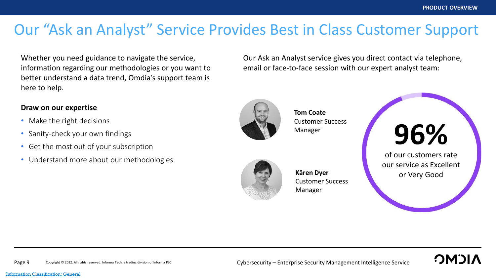## Our "Ask an Analyst" Service Provides Best in Class Customer Support

Whether you need guidance to navigate the service, information regarding our methodologies or you want to better understand a data trend, Omdia's support team is here to help.

### **Draw on our expertise**

- Make the right decisions
- Sanity-check your own findings
- Get the most out of your subscription
- Understand more about our methodologies

Our Ask an Analyst service gives you direct contact via telephone, email or face-to-face session with our expert analyst team:



**Tom Coate** Customer Success Manager



**Kâren Dyer** Customer Success Manager